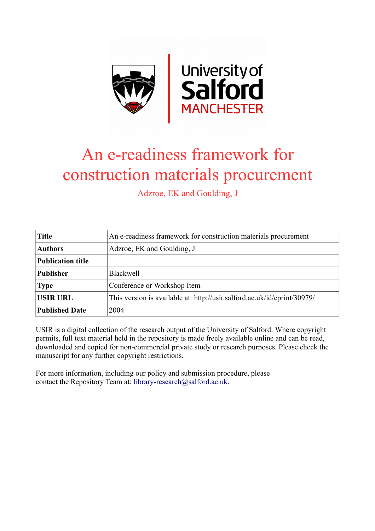

# An e-readiness framework for construction materials procurement

Adzroe, EK and Goulding, J

| <b>Title</b>             | An e-readiness framework for construction materials procurement          |
|--------------------------|--------------------------------------------------------------------------|
| <b>Authors</b>           | Adzroe, EK and Goulding, J                                               |
| <b>Publication title</b> |                                                                          |
| <b>Publisher</b>         | <b>Blackwell</b>                                                         |
| <b>Type</b>              | Conference or Workshop Item                                              |
| <b>USIR URL</b>          | This version is available at: http://usir.salford.ac.uk/id/eprint/30979/ |
| <b>Published Date</b>    | 2004                                                                     |

USIR is a digital collection of the research output of the University of Salford. Where copyright permits, full text material held in the repository is made freely available online and can be read, downloaded and copied for non-commercial private study or research purposes. Please check the manuscript for any further copyright restrictions.

For more information, including our policy and submission procedure, please contact the Repository Team at: [library-research@salford.ac.uk.](mailto:library-research@salford.ac.uk)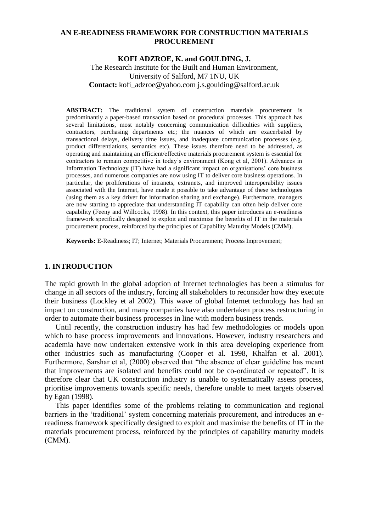#### **AN E-READINESS FRAMEWORK FOR CONSTRUCTION MATERIALS PROCUREMENT**

### **KOFI ADZROE, K. and GOULDING, J.** The Research Institute for the Built and Human Environment, University of Salford, M7 1NU, UK **Contact:** kofi\_adzroe@yahoo.com j.s.goulding@salford.ac.uk

**ABSTRACT:** The traditional system of construction materials procurement is predominantly a paper-based transaction based on procedural processes. This approach has several limitations, most notably concerning communication difficulties with suppliers, contractors, purchasing departments etc; the nuances of which are exacerbated by transactional delays, delivery time issues, and inadequate communication processes (e.g. product differentiations, semantics etc). These issues therefore need to be addressed, as operating and maintaining an efficient/effective materials procurement system is essential for contractors to remain competitive in today's environment (Kong et al, 2001). Advances in Information Technology (IT) have had a significant impact on organisations' core business processes, and numerous companies are now using IT to deliver core business operations. In particular, the proliferations of intranets, extranets, and improved interoperability issues associated with the Internet, have made it possible to take advantage of these technologies (using them as a key driver for information sharing and exchange). Furthermore, managers are now starting to appreciate that understanding IT capability can often help deliver core capability (Feeny and Willcocks, 1998). In this context, this paper introduces an e-readiness framework specifically designed to exploit and maximise the benefits of IT in the materials procurement process, reinforced by the principles of Capability Maturity Models (CMM).

**Keywords:** E-Readiness; IT; Internet; Materials Procurement; Process Improvement;

#### **1. INTRODUCTION**

The rapid growth in the global adoption of Internet technologies has been a stimulus for change in all sectors of the industry, forcing all stakeholders to reconsider how they execute their business (Lockley et al 2002). This wave of global Internet technology has had an impact on construction, and many companies have also undertaken process restructuring in order to automate their business processes in line with modern business trends.

Until recently, the construction industry has had few methodologies or models upon which to base process improvements and innovations. However, industry researchers and academia have now undertaken extensive work in this area developing experience from other industries such as manufacturing (Cooper et al. 1998, Khalfan et al. 2001). Furthermore, Sarshar et al, (2000) observed that "the absence of clear guideline has meant that improvements are isolated and benefits could not be co-ordinated or repeated". It is therefore clear that UK construction industry is unable to systematically assess process, prioritise improvements towards specific needs, therefore unable to meet targets observed by Egan (1998).

This paper identifies some of the problems relating to communication and regional barriers in the 'traditional' system concerning materials procurement, and introduces an ereadiness framework specifically designed to exploit and maximise the benefits of IT in the materials procurement process, reinforced by the principles of capability maturity models (CMM).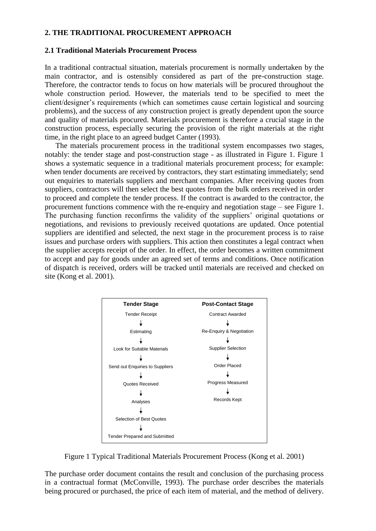#### **2. THE TRADITIONAL PROCUREMENT APPROACH**

#### **2.1 Traditional Materials Procurement Process**

In a traditional contractual situation, materials procurement is normally undertaken by the main contractor, and is ostensibly considered as part of the pre-construction stage. Therefore, the contractor tends to focus on how materials will be procured throughout the whole construction period. However, the materials tend to be specified to meet the client/designer's requirements (which can sometimes cause certain logistical and sourcing problems), and the success of any construction project is greatly dependent upon the source and quality of materials procured. Materials procurement is therefore a crucial stage in the construction process, especially securing the provision of the right materials at the right time, in the right place to an agreed budget Canter (1993).

The materials procurement process in the traditional system encompasses two stages, notably: the tender stage and post-construction stage - as illustrated in Figure 1. Figure 1 shows a systematic sequence in a traditional materials procurement process; for example: when tender documents are received by contractors, they start estimating immediately; send out enquiries to materials suppliers and merchant companies. After receiving quotes from suppliers, contractors will then select the best quotes from the bulk orders received in order to proceed and complete the tender process. If the contract is awarded to the contractor, the procurement functions commence with the re-enquiry and negotiation stage – see Figure 1. The purchasing function reconfirms the validity of the suppliers' original quotations or negotiations, and revisions to previously received quotations are updated. Once potential suppliers are identified and selected, the next stage in the procurement process is to raise issues and purchase orders with suppliers. This action then constitutes a legal contract when the supplier accepts receipt of the order. In effect, the order becomes a written commitment to accept and pay for goods under an agreed set of terms and conditions. Once notification of dispatch is received, orders will be tracked until materials are received and checked on site (Kong et al. 2001).



Figure 1 Typical Traditional Materials Procurement Process (Kong et al. 2001)

The purchase order document contains the result and conclusion of the purchasing process in a contractual format (McConville, 1993). The purchase order describes the materials being procured or purchased, the price of each item of material, and the method of delivery.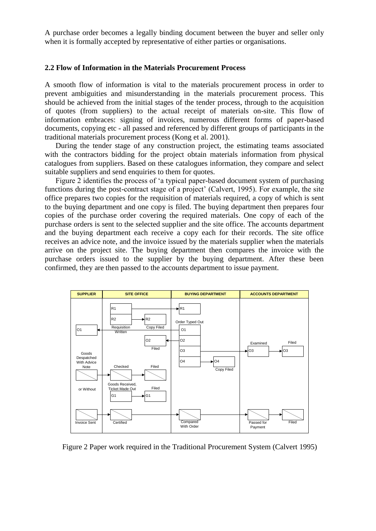A purchase order becomes a legally binding document between the buyer and seller only when it is formally accepted by representative of either parties or organisations.

#### **2.2 Flow of Information in the Materials Procurement Process**

A smooth flow of information is vital to the materials procurement process in order to prevent ambiguities and misunderstanding in the materials procurement process. This should be achieved from the initial stages of the tender process, through to the acquisition of quotes (from suppliers) to the actual receipt of materials on-site. This flow of information embraces: signing of invoices, numerous different forms of paper-based documents, copying etc - all passed and referenced by different groups of participants in the traditional materials procurement process (Kong et al. 2001).

During the tender stage of any construction project, the estimating teams associated with the contractors bidding for the project obtain materials information from physical catalogues from suppliers. Based on these catalogues information, they compare and select suitable suppliers and send enquiries to them for quotes.

Figure 2 identifies the process of 'a typical paper-based document system of purchasing functions during the post-contract stage of a project' (Calvert, 1995). For example, the site office prepares two copies for the requisition of materials required, a copy of which is sent to the buying department and one copy is filed. The buying department then prepares four copies of the purchase order covering the required materials. One copy of each of the purchase orders is sent to the selected supplier and the site office. The accounts department and the buying department each receive a copy each for their records. The site office receives an advice note, and the invoice issued by the materials supplier when the materials arrive on the project site. The buying department then compares the invoice with the purchase orders issued to the supplier by the buying department. After these been confirmed, they are then passed to the accounts department to issue payment.



Figure 2 Paper work required in the Traditional Procurement System (Calvert 1995)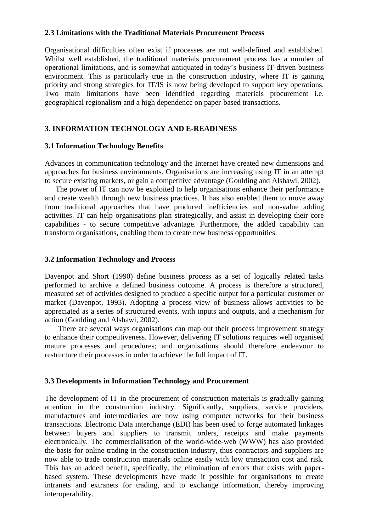#### **2.3 Limitations with the Traditional Materials Procurement Process**

Organisational difficulties often exist if processes are not well-defined and established. Whilst well established, the traditional materials procurement process has a number of operational limitations, and is somewhat antiquated in today's business IT-driven business environment. This is particularly true in the construction industry, where IT is gaining priority and strong strategies for IT/IS is now being developed to support key operations. Two main limitations have been identified regarding materials procurement i.e. geographical regionalism and a high dependence on paper-based transactions.

### **3. INFORMATION TECHNOLOGY AND E-READINESS**

#### **3.1 Information Technology Benefits**

Advances in communication technology and the Internet have created new dimensions and approaches for business environments. Organisations are increasing using IT in an attempt to secure existing markets, or gain a competitive advantage (Goulding and Alshawi, 2002).

The power of IT can now be exploited to help organisations enhance their performance and create wealth through new business practices. It has also enabled them to move away from traditional approaches that have produced inefficiencies and non-value adding activities. IT can help organisations plan strategically, and assist in developing their core capabilities - to secure competitive advantage. Furthermore, the added capability can transform organisations, enabling them to create new business opportunities.

#### **3.2 Information Technology and Process**

Davenpot and Short (1990) define business process as a set of logically related tasks performed to archive a defined business outcome. A process is therefore a structured, measured set of activities designed to produce a specific output for a particular customer or market (Davenpot, 1993). Adopting a process view of business allows activities to be appreciated as a series of structured events, with inputs and outputs, and a mechanism for action (Goulding and Alshawi, 2002).

There are several ways organisations can map out their process improvement strategy to enhance their competitiveness. However, delivering IT solutions requires well organised mature processes and procedures; and organisations should therefore endeavour to restructure their processes in order to achieve the full impact of IT.

#### **3.3 Developments in Information Technology and Procurement**

The development of IT in the procurement of construction materials is gradually gaining attention in the construction industry. Significantly, suppliers, service providers, manufactures and intermediaries are now using computer networks for their business transactions. Electronic Data interchange (EDI) has been used to forge automated linkages between buyers and suppliers to transmit orders, receipts and make payments electronically. The commercialisation of the world-wide-web (WWW) has also provided the basis for online trading in the construction industry, thus contractors and suppliers are now able to trade construction materials online easily with low transaction cost and risk. This has an added benefit, specifically, the elimination of errors that exists with paperbased system. These developments have made it possible for organisations to create intranets and extranets for trading, and to exchange information, thereby improving interoperability.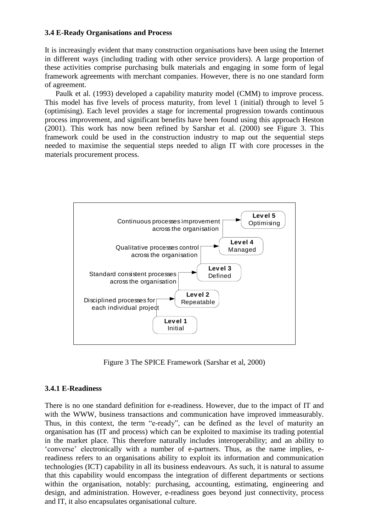#### **3.4 E-Ready Organisations and Process**

It is increasingly evident that many construction organisations have been using the Internet in different ways (including trading with other service providers). A large proportion of these activities comprise purchasing bulk materials and engaging in some form of legal framework agreements with merchant companies. However, there is no one standard form of agreement.

Paulk et al. (1993) developed a capability maturity model (CMM) to improve process. This model has five levels of process maturity, from level 1 (initial) through to level 5 (optimising). Each level provides a stage for incremental progression towards continuous process improvement, and significant benefits have been found using this approach Heston (2001). This work has now been refined by Sarshar et al. (2000) see Figure 3. This framework could be used in the construction industry to map out the sequential steps needed to maximise the sequential steps needed to align IT with core processes in the materials procurement process.



Figure 3 The SPICE Framework (Sarshar et al, 2000)

## **3.4.1 E-Readiness**

There is no one standard definition for e-readiness. However, due to the impact of IT and with the WWW, business transactions and communication have improved immeasurably. Thus, in this context, the term "e-ready", can be defined as the level of maturity an organisation has (IT and process) which can be exploited to maximise its trading potential in the market place. This therefore naturally includes interoperability; and an ability to 'converse' electronically with a number of e-partners. Thus, as the name implies, ereadiness refers to an organisations ability to exploit its information and communication technologies (ICT) capability in all its business endeavours. As such, it is natural to assume that this capability would encompass the integration of different departments or sections within the organisation, notably: purchasing, accounting, estimating, engineering and design, and administration. However, e-readiness goes beyond just connectivity, process and IT, it also encapsulates organisational culture.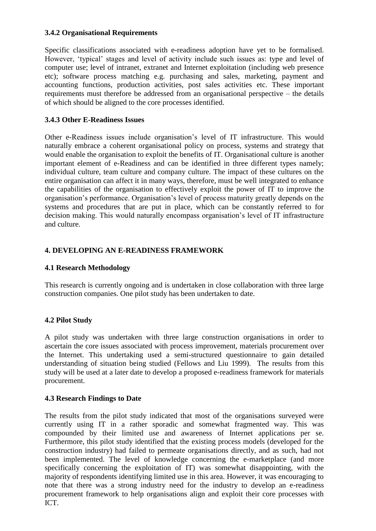### **3.4.2 Organisational Requirements**

Specific classifications associated with e-readiness adoption have yet to be formalised. However, 'typical' stages and level of activity include such issues as: type and level of computer use; level of intranet, extranet and Internet exploitation (including web presence etc); software process matching e.g. purchasing and sales, marketing, payment and accounting functions, production activities, post sales activities etc. These important requirements must therefore be addressed from an organisational perspective – the details of which should be aligned to the core processes identified.

## **3.4.3 Other E-Readiness Issues**

Other e-Readiness issues include organisation's level of IT infrastructure. This would naturally embrace a coherent organisational policy on process, systems and strategy that would enable the organisation to exploit the benefits of IT. Organisational culture is another important element of e-Readiness and can be identified in three different types namely; individual culture, team culture and company culture. The impact of these cultures on the entire organisation can affect it in many ways, therefore, must be well integrated to enhance the capabilities of the organisation to effectively exploit the power of IT to improve the organisation's performance. Organisation's level of process maturity greatly depends on the systems and procedures that are put in place, which can be constantly referred to for decision making. This would naturally encompass organisation's level of IT infrastructure and culture.

# **4. DEVELOPING AN E-READINESS FRAMEWORK**

## **4.1 Research Methodology**

This research is currently ongoing and is undertaken in close collaboration with three large construction companies. One pilot study has been undertaken to date.

## **4.2 Pilot Study**

A pilot study was undertaken with three large construction organisations in order to ascertain the core issues associated with process improvement, materials procurement over the Internet. This undertaking used a semi-structured questionnaire to gain detailed understanding of situation being studied (Fellows and Liu 1999). The results from this study will be used at a later date to develop a proposed e-readiness framework for materials procurement.

## **4.3 Research Findings to Date**

The results from the pilot study indicated that most of the organisations surveyed were currently using IT in a rather sporadic and somewhat fragmented way. This was compounded by their limited use and awareness of Internet applications per se. Furthermore, this pilot study identified that the existing process models (developed for the construction industry) had failed to permeate organisations directly, and as such, had not been implemented. The level of knowledge concerning the e-marketplace (and more specifically concerning the exploitation of IT) was somewhat disappointing, with the majority of respondents identifying limited use in this area. However, it was encouraging to note that there was a strong industry need for the industry to develop an e-readiness procurement framework to help organisations align and exploit their core processes with ICT.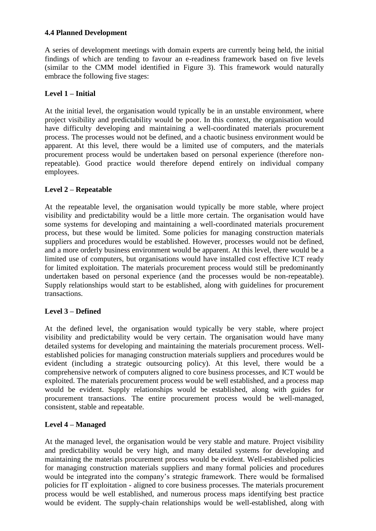## **4.4 Planned Development**

A series of development meetings with domain experts are currently being held, the initial findings of which are tending to favour an e-readiness framework based on five levels (similar to the CMM model identified in Figure 3). This framework would naturally embrace the following five stages:

## **Level 1 – Initial**

At the initial level, the organisation would typically be in an unstable environment, where project visibility and predictability would be poor. In this context, the organisation would have difficulty developing and maintaining a well-coordinated materials procurement process. The processes would not be defined, and a chaotic business environment would be apparent. At this level, there would be a limited use of computers, and the materials procurement process would be undertaken based on personal experience (therefore nonrepeatable). Good practice would therefore depend entirely on individual company employees.

# **Level 2 – Repeatable**

At the repeatable level, the organisation would typically be more stable, where project visibility and predictability would be a little more certain. The organisation would have some systems for developing and maintaining a well-coordinated materials procurement process, but these would be limited. Some policies for managing construction materials suppliers and procedures would be established. However, processes would not be defined, and a more orderly business environment would be apparent. At this level, there would be a limited use of computers, but organisations would have installed cost effective ICT ready for limited exploitation. The materials procurement process would still be predominantly undertaken based on personal experience (and the processes would be non-repeatable). Supply relationships would start to be established, along with guidelines for procurement transactions.

## **Level 3 – Defined**

At the defined level, the organisation would typically be very stable, where project visibility and predictability would be very certain. The organisation would have many detailed systems for developing and maintaining the materials procurement process. Wellestablished policies for managing construction materials suppliers and procedures would be evident (including a strategic outsourcing policy). At this level, there would be a comprehensive network of computers aligned to core business processes, and ICT would be exploited. The materials procurement process would be well established, and a process map would be evident. Supply relationships would be established, along with guides for procurement transactions. The entire procurement process would be well-managed, consistent, stable and repeatable.

## **Level 4 – Managed**

At the managed level, the organisation would be very stable and mature. Project visibility and predictability would be very high, and many detailed systems for developing and maintaining the materials procurement process would be evident. Well-established policies for managing construction materials suppliers and many formal policies and procedures would be integrated into the company's strategic framework. There would be formalised policies for IT exploitation - aligned to core business processes. The materials procurement process would be well established, and numerous process maps identifying best practice would be evident. The supply-chain relationships would be well-established, along with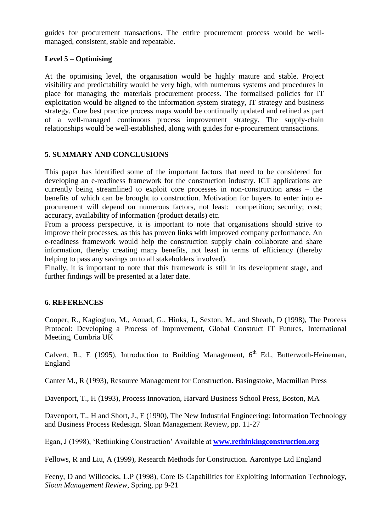guides for procurement transactions. The entire procurement process would be wellmanaged, consistent, stable and repeatable.

## **Level 5 – Optimising**

At the optimising level, the organisation would be highly mature and stable. Project visibility and predictability would be very high, with numerous systems and procedures in place for managing the materials procurement process. The formalised policies for IT exploitation would be aligned to the information system strategy, IT strategy and business strategy. Core best practice process maps would be continually updated and refined as part of a well-managed continuous process improvement strategy. The supply-chain relationships would be well-established, along with guides for e-procurement transactions.

## **5. SUMMARY AND CONCLUSIONS**

This paper has identified some of the important factors that need to be considered for developing an e-readiness framework for the construction industry. ICT applications are currently being streamlined to exploit core processes in non-construction areas – the benefits of which can be brought to construction. Motivation for buyers to enter into eprocurement will depend on numerous factors, not least: competition; security; cost; accuracy, availability of information (product details) etc.

From a process perspective, it is important to note that organisations should strive to improve their processes, as this has proven links with improved company performance. An e-readiness framework would help the construction supply chain collaborate and share information, thereby creating many benefits, not least in terms of efficiency (thereby helping to pass any savings on to all stakeholders involved).

Finally, it is important to note that this framework is still in its development stage, and further findings will be presented at a later date.

#### **6. REFERENCES**

Cooper, R., Kagiogluo, M., Aouad, G., Hinks, J., Sexton, M., and Sheath, D (1998), The Process Protocol: Developing a Process of Improvement, Global Construct IT Futures, International Meeting, Cumbria UK

Calvert, R., E (1995), Introduction to Building Management,  $6<sup>th</sup>$  Ed., Butterwoth-Heineman, England

Canter M., R (1993), Resource Management for Construction. Basingstoke, Macmillan Press

Davenport, T., H (1993), Process Innovation, Harvard Business School Press, Boston, MA

Davenport, T., H and Short, J., E (1990), The New Industrial Engineering: Information Technology and Business Process Redesign. Sloan Management Review, pp. 11-27

Egan, J (1998), 'Rethinking Construction' Available at **[www.rethinkingconstruction.org](http://www.rethinkingconstruction.org/)**

Fellows, R and Liu, A (1999), Research Methods for Construction. Aarontype Ltd England

Feeny, D and Willcocks, L.P (1998), Core IS Capabilities for Exploiting Information Technology, *Sloan Management Review*, Spring, pp 9-21